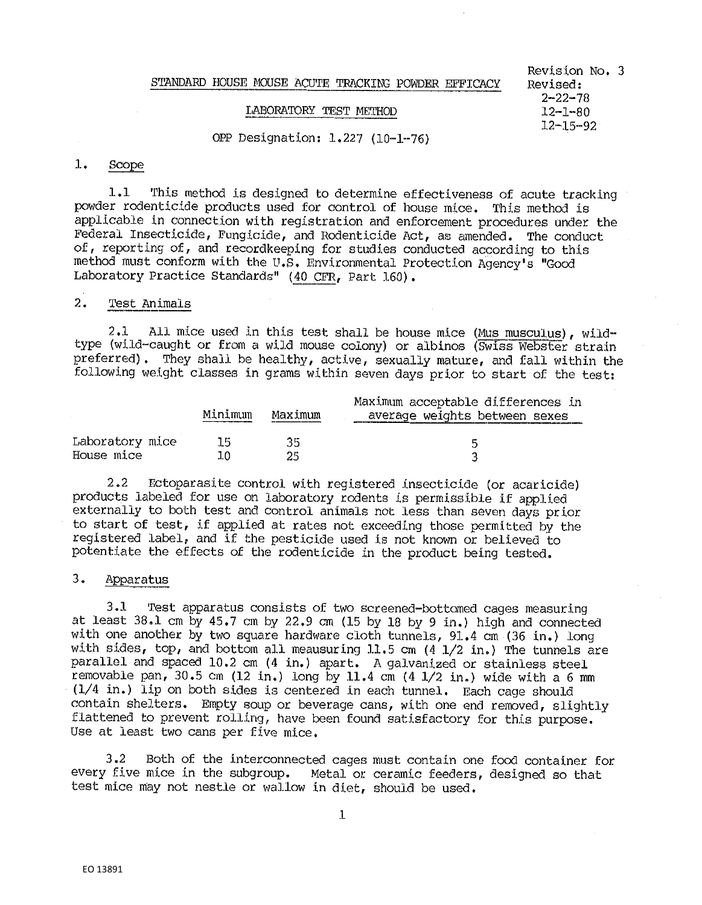### LABORATORY TEST METHOD

Revision No. 3<br>Revised: 2-22-78 12-15-92

# OPP Designation: 1.227 (10-1··76)

## 1. Scope

1.1 This method is designed to determine effectiveness of acute tracking powder rodenticide products used for control of house mice. This method is applicable in connection with registration and enforcement procedures under the Federal Insecticide, Fungicide, and Rodenticide Act, as amended, The conduct of, reporting of, and recordkeeping for studies conducted according to this method must conform with the U.S. Environmental Protection Agency's "Good Laboratory Practice Standards" (40 CFR, Part 160).

# 2. Test Animals

2.1 All mice used in this test shall be house mice (Mus musculus), wildtype (wild-caught or from a wild mouse colony) or albinos (Swiss Webster strain preferred). They shall be healthy, active, sexually mature, and fall within the following weight classes in grams within seven days prior to start of the test:

|                 | Minimum | Maximum | Maximum acceptable differences in<br>average weights between sexes |
|-----------------|---------|---------|--------------------------------------------------------------------|
| Laboratory mice | 15      | 35      | n                                                                  |
| House mice      | ח ד     | 25      |                                                                    |

2.2 Ectoparasite control with registered insecticide (or acaricide) products labeled for use on laboratory rodents is permissible if applied externally to both test and control animals not less than seven days prior to start of test, if applied at rates not exceeding those permitted by the registered label, and if the pesticide used is not known or believed to potentiate the effects of the rodenticide in the product being tested.

# 3. Apparatus

3.1 •rest apparatus consists of two screened-bottomed cages measuring at least 38.l cm by 45.7 cm by 22.9 cm (15 by 18 by 9 in.) high and connected with one another by two square hardware cloth tunnels, 91.4 cm (36 in,) long with sides, top, and bottom all meausuring 11.5 cm (4 1/2 in.) The tunnels are parallel and spaced 10.2 cm (4 in.) apart. A galvanized or stainless steel removable pan,  $30.5$  cm (12 in.) long by 11.4 cm (4 1/2 in.) wide with a 6 mm (1/4 in.) lip on both sides i.s centered in each tunnel. Each cage should contain shelters. Empty soup or beverage cans, with one end removed, slightly flattened to prevent rolling, have been found satisfactory for this purpose, Use at least two cans per five mice,

3.2 Both of the interconnected cages must contain one food container for every five mice in the subgroup. Metal or ceramic feeders, designed so that test mice may not nestle or wallow in diet, should be used.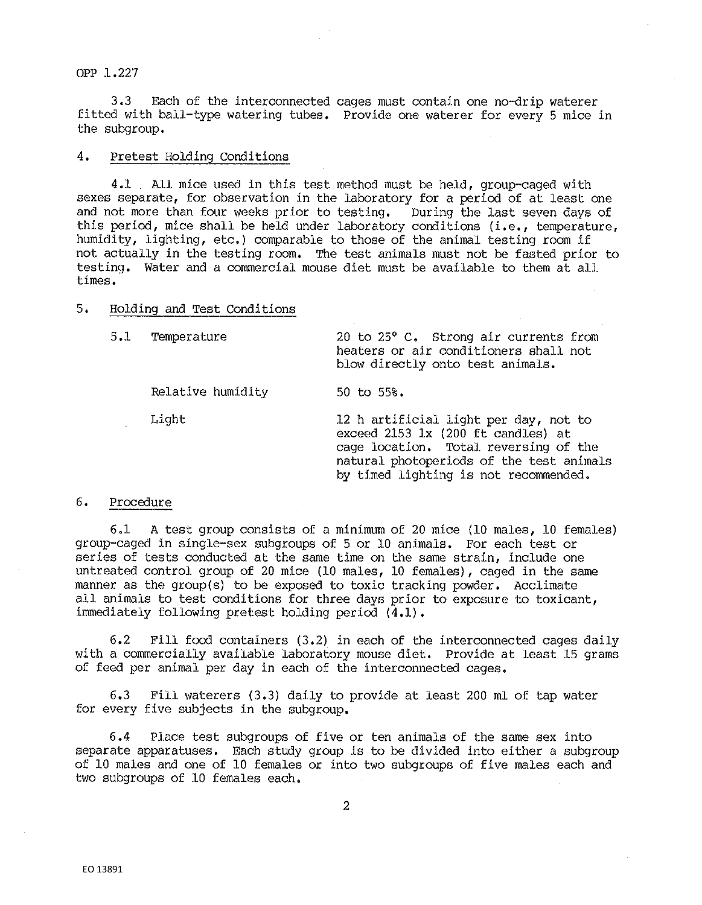OPP 1.227

3.3 Each of the interconnected cages must contain one no-drip waterer fitted with ball-type watering tubes. Provide one waterer for every 5 mice in the subgroup,

# 4. Pretest Holding Conditions

4,1 All mice used in this test method must be held, group-caged with sexes separate, for observation in the laboratory for a period of at least one<br>and not more than four weeks prior to testing. During the last seven days of and not more than four weeks prior to testing. this period, mice shall be held under laboratory conditions  $(i.e.,$  temperature, humidity, lighting, etc,) comparable to those of the animal testing room if not actually in the testing room, The test animals must not be fasted prior to testing. Water and a commercial mouse diet must be available to them at all times.

#### 5. Holding and Test Conditions

5,1 Temperature 20 to 25° c, Strong air currents from

Relative humidity 50 to 55%.

Light 12 h artificial light per day, not to exceed 2153 lx (200 ft candles) at cage location. Total reversing of the natural photoperiods of the test animals by timed lighting is not recommended.

heaters or air conditioners shall not

blow directly onto test animals.

## 6. Procedure

6 ,1 A test group consists of a minimum of 20 mice (10 males, 10 females) group-caged in single-sex subgroups of 5 or 10 animals. For each test or series of tests conducted at the same time on the same strain, include one untreated control group of 20 mice (10 males, 10 females), caged in the same manner as the group(s) to be exposed to toxic tracking powder. Acclimate all animals to test conditions for three days prior to exposure to toxicant, immediately following pretest holding period (4.1).

6.2 Fill food containers  $(3.2)$  in each of the interconnected cages daily with a commercially available laboratory mouse diet. Provide at least 15 grams of feed per animal per day in each of the interconnected cages,

6.3 Fill waterers (3.3) daily to provide at least 200 ml of tap water for every five subjects in the subgroup.

6.4 Place test subgroups of five or ten animals of the same sex into separate apparatuses. Each study group is to be divided into either a subgroup of 10 males and one of 10 females or into two subgroups of five males each and two subgroups of 10 females each.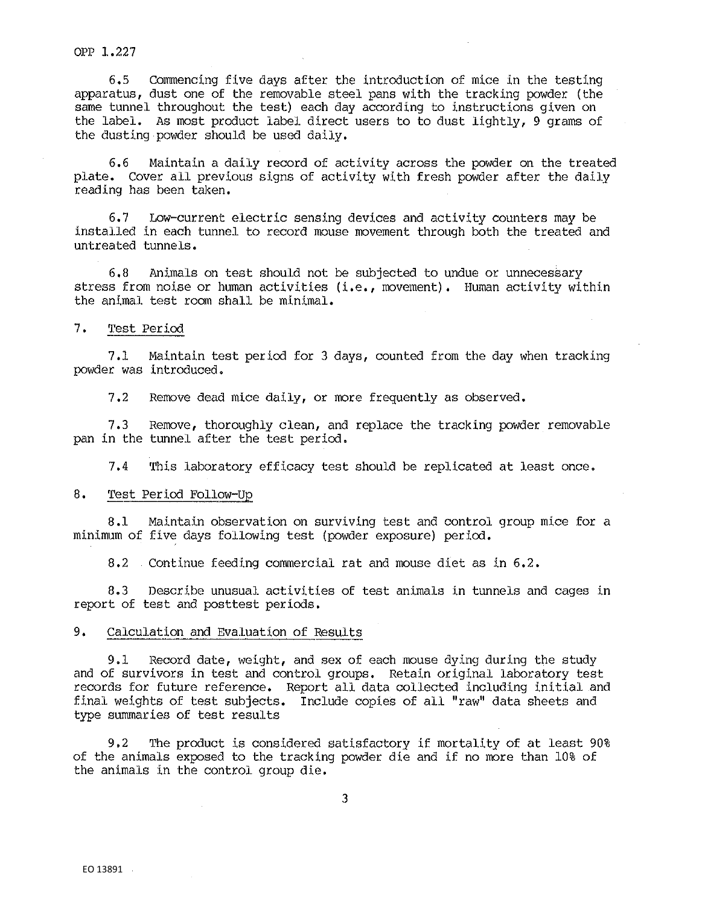OPP 1.227

6.5 Commencing five days after the introduction of mice in the testing apparatus, dust one of the removable steel pans with the tracking powder (the same tunnel throughout the test) each day according to instructions given on the label. As most product label direct users to to dust lightly, 9 grams of the dusting powder should be used daily.

6,6 Maintain a daily record of activity across the powder on the treated plate. Cover all previous signs of activity with fresh powder after the daily reading has been taken,

6, 7 Low-current electric sensing devices and activity counters may be installed in each tunnel to record mouse movement through both the treated and untreated tunnels,

6,8 Animals on test should not be subjected to undue or unnecessary stress from noise or human activities (i.e., movement). Human activity within the animal test room shall be minimal.

#### 7 • Test Period

7 ,1 Maintain test period for 3 days, counted from the day when tracking powder was introduced,

7,2 Remove dead mice daily, or more frequently as observed,

7.3 Remove, thoroughly clean, and replace the tracking powder removable pan in the tunnel after the test period.

7.4 This laboratory efficacy test should be replicated at least once.

### 8. Test Period Follow-Up

8.1 Maintain observation on surviving test and control group mice for a minimum of five days following test (powder exposure) period.

8,2 Continue feeding commercial rat and mouse diet as in 6,2.

8.3 Describe unusual activities of test animals in tunnels and cages in report of test and posttest periods,

#### 9, Calculation and Evaluation of Results

9.1 Record date, weight, and sex of each mouse dying during the study and of survivors in test and control groups, Retain original laboratory test records for future reference. Report all data collected including initial and final weights of test subjects. Include copies of all "raw" data sheets and type summaries of test results

9.2 The product is considered satisfactory if mortality of at least 90% of the animals exposed to the tracking powder die and if no more than 10% of the animals in the control group die.

3